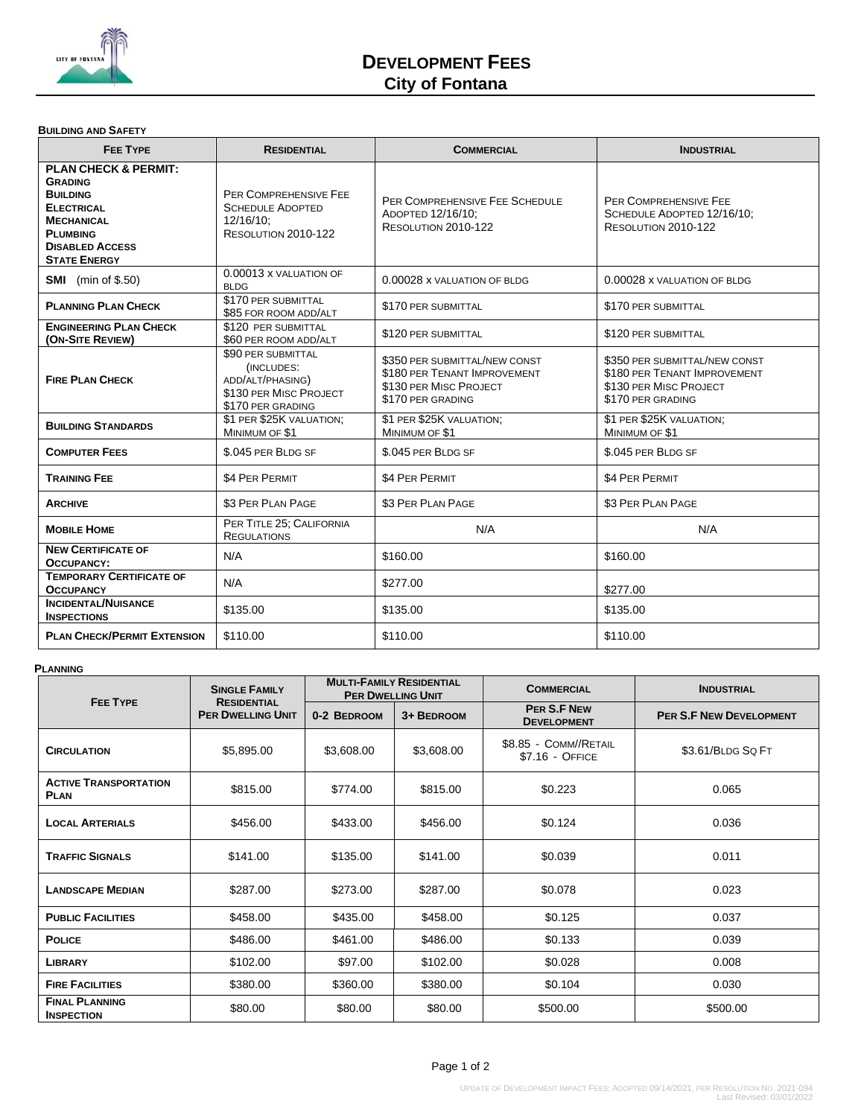

# **DEVELOPMENT FEES City of Fontana**

### **BUILDING AND SAFETY**

| <b>FEE TYPE</b><br><b>RESIDENTIAL</b>                                                                                                                                              |                                                                                      | <b>COMMERCIAL</b>                                                                                            | <b>INDUSTRIAL</b>                                                                                            |  |
|------------------------------------------------------------------------------------------------------------------------------------------------------------------------------------|--------------------------------------------------------------------------------------|--------------------------------------------------------------------------------------------------------------|--------------------------------------------------------------------------------------------------------------|--|
| <b>PLAN CHECK &amp; PERMIT:</b><br><b>GRADING</b><br><b>BUILDING</b><br><b>ELECTRICAL</b><br><b>MECHANICAL</b><br><b>PLUMBING</b><br><b>DISABLED ACCESS</b><br><b>STATE ENERGY</b> | PER COMPREHENSIVE FEE<br><b>SCHEDULE ADOPTED</b><br>12/16/10:<br>RESOLUTION 2010-122 | PER COMPREHENSIVE FEE SCHEDULE<br>ADOPTED 12/16/10:<br>RESOLUTION 2010-122                                   | PER COMPREHENSIVE FEE<br>SCHEDULE ADOPTED 12/16/10:<br>RESOLUTION 2010-122                                   |  |
| <b>SMI</b> (min of \$.50)                                                                                                                                                          | 0.00013 x VALUATION OF<br><b>BLDG</b>                                                | 0.00028 x VALUATION OF BLDG                                                                                  | 0.00028 x VALUATION OF BLDG                                                                                  |  |
| <b>PLANNING PLAN CHECK</b>                                                                                                                                                         | \$170 PER SUBMITTAL<br>\$85 FOR ROOM ADD/ALT                                         | \$170 PER SUBMITTAL                                                                                          | \$170 PER SUBMITTAL                                                                                          |  |
| <b>ENGINEERING PLAN CHECK</b><br>(ON-SITE REVIEW)                                                                                                                                  | \$120 PER SUBMITTAL<br>\$60 PER ROOM ADD/ALT                                         | \$120 PER SUBMITTAL                                                                                          | \$120 PER SUBMITTAL                                                                                          |  |
| \$90 PER SUBMITTAL<br>(INCLUDES:<br>ADD/ALT/PHASING)<br><b>FIRE PLAN CHECK</b><br>\$130 PER MISC PROJECT<br>\$170 PER GRADING                                                      |                                                                                      | \$350 PER SUBMITTAL/NEW CONST<br>\$180 PER TENANT IMPROVEMENT<br>\$130 PER MISC PROJECT<br>\$170 PER GRADING | \$350 PER SUBMITTAL/NEW CONST<br>\$180 PER TENANT IMPROVEMENT<br>\$130 PER MISC PROJECT<br>\$170 PER GRADING |  |
| \$1 PER \$25K VALUATION;<br><b>BUILDING STANDARDS</b><br>MINIMUM OF \$1                                                                                                            |                                                                                      | \$1 PER \$25K VALUATION;<br>MINIMUM OF \$1                                                                   | \$1 PER \$25K VALUATION;<br>MINIMUM OF \$1                                                                   |  |
| <b>COMPUTER FEES</b>                                                                                                                                                               | \$.045 PER BLDG SF                                                                   | \$.045 PER BLDG SF                                                                                           | \$.045 PER BLDG SF                                                                                           |  |
| <b>TRAINING FEE</b>                                                                                                                                                                | \$4 PER PERMIT                                                                       | \$4 PER PERMIT                                                                                               | \$4 PER PERMIT                                                                                               |  |
| <b>ARCHIVE</b>                                                                                                                                                                     | \$3 PER PLAN PAGE                                                                    | \$3 PER PLAN PAGE                                                                                            | \$3 PER PLAN PAGE                                                                                            |  |
| PER TITLE 25; CALIFORNIA<br><b>MOBILE HOME</b><br><b>REGULATIONS</b>                                                                                                               |                                                                                      | N/A                                                                                                          | N/A                                                                                                          |  |
| <b>NEW CERTIFICATE OF</b><br><b>OCCUPANCY:</b>                                                                                                                                     | N/A                                                                                  | \$160.00                                                                                                     | \$160.00                                                                                                     |  |
| <b>TEMPORARY CERTIFICATE OF</b><br><b>OCCUPANCY</b>                                                                                                                                | N/A                                                                                  | \$277.00                                                                                                     | \$277.00                                                                                                     |  |
| <b>INCIDENTAL/NUISANCE</b><br><b>INSPECTIONS</b>                                                                                                                                   | \$135.00                                                                             | \$135.00                                                                                                     | \$135.00                                                                                                     |  |
| <b>PLAN CHECK/PERMIT EXTENSION</b>                                                                                                                                                 | \$110.00                                                                             | \$110.00                                                                                                     | \$110.00                                                                                                     |  |

## **PLANNING**

| <b>FEE TYPE</b>                             | <b>SINGLE FAMILY</b><br><b>RESIDENTIAL</b><br><b>PER DWELLING UNIT</b> | <b>MULTI-FAMILY RESIDENTIAL</b><br><b>PER DWELLING UNIT</b> |            | <b>COMMERCIAL</b>                        | <b>INDUSTRIAL</b>              |
|---------------------------------------------|------------------------------------------------------------------------|-------------------------------------------------------------|------------|------------------------------------------|--------------------------------|
|                                             |                                                                        | 0-2 BEDROOM                                                 | 3+ BEDROOM | <b>PER S.F NEW</b><br><b>DEVELOPMENT</b> | <b>PER S.F NEW DEVELOPMENT</b> |
| <b>CIRCULATION</b>                          | \$5,895.00                                                             | \$3,608.00                                                  | \$3,608.00 | \$8.85 - COMM//RETAIL<br>\$7.16 - OFFICE | \$3.61/BLDG SQ FT              |
| <b>ACTIVE TRANSPORTATION</b><br><b>PLAN</b> | \$815.00                                                               | \$774.00                                                    | \$815.00   | \$0.223                                  | 0.065                          |
| <b>LOCAL ARTERIALS</b>                      | \$456.00                                                               | \$433.00                                                    | \$456.00   | \$0.124                                  | 0.036                          |
| <b>TRAFFIC SIGNALS</b>                      | \$141.00                                                               | \$135.00                                                    | \$141.00   | \$0.039                                  | 0.011                          |
| <b>LANDSCAPE MEDIAN</b>                     | \$287.00                                                               | \$273.00                                                    | \$287.00   | \$0.078                                  | 0.023                          |
| <b>PUBLIC FACILITIES</b>                    | \$458.00                                                               | \$435.00                                                    | \$458.00   | \$0.125                                  | 0.037                          |
| <b>POLICE</b>                               | \$486.00                                                               | \$461.00                                                    | \$486.00   | \$0.133                                  | 0.039                          |
| <b>LIBRARY</b>                              | \$102.00                                                               | \$97.00                                                     | \$102.00   | \$0.028                                  | 0.008                          |
| <b>FIRE FACILITIES</b>                      | \$380.00                                                               | \$360.00                                                    | \$380.00   | \$0.104                                  | 0.030                          |
| <b>FINAL PLANNING</b><br><b>INSPECTION</b>  | \$80.00                                                                | \$80.00                                                     | \$80.00    | \$500.00                                 | \$500.00                       |